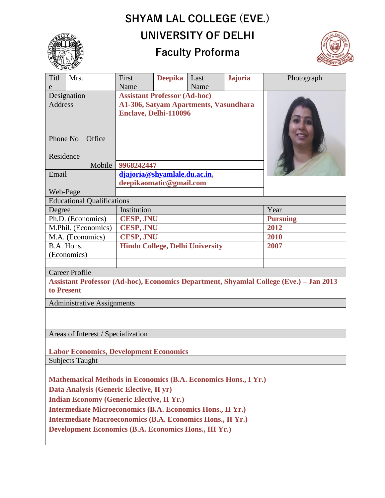## **SHYAM LAL COLLEGE (EVE.) UNIVERSITY OF DELHI**



## **Faculty Proforma**



| Titl<br>Mrs.                                                                                         |             | First                                  | <b>Deepika</b> | Last | <b>Jajoria</b>  | Photograph |  |
|------------------------------------------------------------------------------------------------------|-------------|----------------------------------------|----------------|------|-----------------|------------|--|
| e                                                                                                    |             | Name                                   |                | Name |                 |            |  |
| Designation                                                                                          |             | <b>Assistant Professor (Ad-hoc)</b>    |                |      |                 |            |  |
| <b>Address</b>                                                                                       |             | A1-306, Satyam Apartments, Vasundhara  |                |      |                 |            |  |
|                                                                                                      |             | Enclave, Delhi-110096                  |                |      |                 |            |  |
|                                                                                                      |             |                                        |                |      |                 |            |  |
| Phone No<br>Office                                                                                   |             |                                        |                |      |                 |            |  |
|                                                                                                      |             |                                        |                |      |                 |            |  |
| Residence                                                                                            |             |                                        |                |      |                 |            |  |
| Mobile                                                                                               |             | 9968242447                             |                |      |                 |            |  |
| Email                                                                                                |             | djajoria@shyamlale.du.ac.in,           |                |      |                 |            |  |
|                                                                                                      |             | deepikaomatic@gmail.com                |                |      |                 |            |  |
| Web-Page                                                                                             |             |                                        |                |      |                 |            |  |
| <b>Educational Qualifications</b>                                                                    |             |                                        |                |      |                 |            |  |
| Degree                                                                                               | Institution |                                        |                |      |                 | Year       |  |
| Ph.D. (Economics)<br><b>CESP, JNU</b>                                                                |             |                                        |                |      | <b>Pursuing</b> |            |  |
| M.Phil. (Economics)                                                                                  |             | <b>CESP, JNU</b>                       |                |      | 2012            |            |  |
| M.A. (Economics)                                                                                     |             | <b>CESP, JNU</b>                       |                |      | 2010            |            |  |
| B.A. Hons.                                                                                           |             | <b>Hindu College, Delhi University</b> |                |      | 2007            |            |  |
| (Economics)                                                                                          |             |                                        |                |      |                 |            |  |
|                                                                                                      |             |                                        |                |      |                 |            |  |
| <b>Career Profile</b>                                                                                |             |                                        |                |      |                 |            |  |
| Assistant Professor (Ad-hoc), Economics Department, Shyamlal College (Eve.) - Jan 2013<br>to Present |             |                                        |                |      |                 |            |  |
| <b>Administrative Assignments</b>                                                                    |             |                                        |                |      |                 |            |  |
|                                                                                                      |             |                                        |                |      |                 |            |  |
|                                                                                                      |             |                                        |                |      |                 |            |  |
| Areas of Interest / Specialization                                                                   |             |                                        |                |      |                 |            |  |
|                                                                                                      |             |                                        |                |      |                 |            |  |
| <b>Labor Economics, Development Economics</b>                                                        |             |                                        |                |      |                 |            |  |
| Subjects Taught                                                                                      |             |                                        |                |      |                 |            |  |
|                                                                                                      |             |                                        |                |      |                 |            |  |
| <b>Mathematical Methods in Economics (B.A. Economics Hons., I Yr.)</b>                               |             |                                        |                |      |                 |            |  |
| Data Analysis (Generic Elective, II yr)                                                              |             |                                        |                |      |                 |            |  |
| <b>Indian Economy (Generic Elective, II Yr.)</b>                                                     |             |                                        |                |      |                 |            |  |
| <b>Intermediate Microeconomics (B.A. Economics Hons., II Yr.)</b>                                    |             |                                        |                |      |                 |            |  |
| <b>Intermediate Macroeconomics (B.A. Economics Hons., II Yr.)</b>                                    |             |                                        |                |      |                 |            |  |
| <b>Development Economics (B.A. Economics Hons., III Yr.)</b>                                         |             |                                        |                |      |                 |            |  |
|                                                                                                      |             |                                        |                |      |                 |            |  |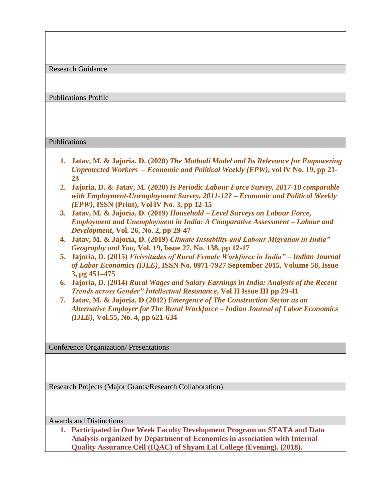Research Guidance

Publications Profile

## Publications

- **1. Jatav, M. & Jajoria, D. (2020)** *The Mathadi Model and Its Relevance for Empowering Unprotected Workers – Economic and Political Weekly (EPW)***, vol lV No. 19, pp 21- 23**
- **2. Jajoria, D. & Jatav, M. (2020)** *Is Periodic Labour Force Survey, 2017-18 comparable with Employment-Unemployment Survey, 2011-12? – Economic and Political Weekly (EPW)***, ISSN (Print), Vol lV No. 3, pp 12-15**
- **3. Jatav, M. & Jajoria, D. (2019)** *Household – Level Surveys on Labour Force, Employment and Unemployment in India: A Comparative Assessment – Labour and Development***, Vol. 26, No. 2, pp 29-47**
- **4. Jatav, M. & Jajoria, D. (2019)** *Climate Instability and Labour Migration in India" – Geography and You,* **Vol. 19, Issue 27, No. 138, pp 12-17**
- **5. Jajoria, D. (2015)** *Vicissitudes of Rural Female Workforce in India" – Indian Journal of Labor Economics (IJLE)***, ISSN No. 0971-7927 September 2015, Volume 58, Issue 3, pg 451–475**
- **6. Jajoria, D. (2014)** *Rural Wages and Salary Earnings in India: Analysis of the Recent Trends across Gender" Intellectual Resonance***, Vol II Issue III pp 29-41**
- **7. Jatav, M. & Jajoria, D (2012)** *Emergence of The Construction Sector as an Alternative Employer for The Rural Workforce – Indian Journal of Labor Economics (IJLE)***, Vol.55, No. 4, pp 621-634**

Conference Organization/ Presentations

Research Projects (Major Grants/Research Collaboration)

Awards and Distinctions

**1. Participated in One Week Faculty Development Program on STATA and Data Analysis organized by Department of Economics in association with Internal Quality Assurance Cell (IQAC) of Shyam Lal College (Evening). (2018).**